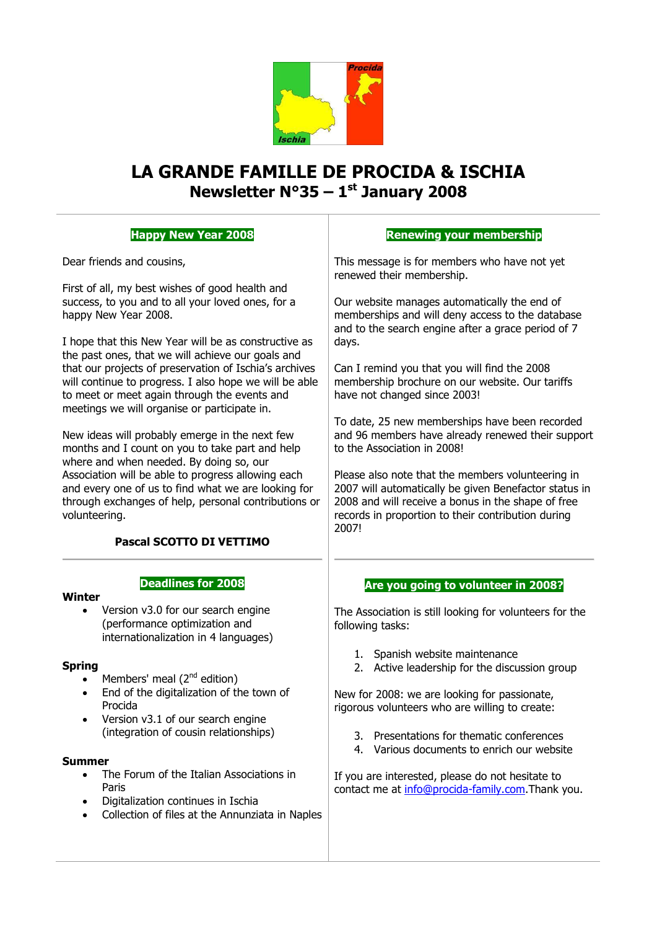

# **LA GRANDE FAMILLE DE PROCIDA & ISCHIA Newsletter N°35 – 1 st January 2008**

# **Happy New Year 2008**

Dear friends and cousins,

First of all, my best wishes of good health and success, to you and to all your loved ones, for a happy New Year 2008.

I hope that this New Year will be as constructive as the past ones, that we will achieve our goals and that our projects of preservation of Ischia's archives will continue to progress. I also hope we will be able to meet or meet again through the events and meetings we will organise or participate in.

New ideas will probably emerge in the next few months and I count on you to take part and help where and when needed. By doing so, our Association will be able to progress allowing each and every one of us to find what we are looking for through exchanges of help, personal contributions or volunteering.

## **Pascal SCOTTO DI VETTIMO**

**Deadlines for 2008**

#### **Winter**

 Version v3.0 for our search engine (performance optimization and internationalization in 4 languages)

#### **Spring**

- Members' meal  $(2^{nd}$  edition)
- End of the digitalization of the town of Procida
- Version v3.1 of our search engine (integration of cousin relationships)

#### **Summer**

- The Forum of the Italian Associations in Paris
- Digitalization continues in Ischia
- Collection of files at the Annunziata in Naples

### **Renewing your membership**

This message is for members who have not yet renewed their membership.

Our website manages automatically the end of memberships and will deny access to the database and to the search engine after a grace period of 7 days.

Can I remind you that you will find the 2008 membership brochure on our website. Our tariffs have not changed since 2003!

To date, 25 new memberships have been recorded and 96 members have already renewed their support to the Association in 2008!

Please also note that the members volunteering in 2007 will automatically be given Benefactor status in 2008 and will receive a bonus in the shape of free records in proportion to their contribution during 2007!

#### **Are you going to volunteer in 2008?**

The Association is still looking for volunteers for the following tasks:

- 1. Spanish website maintenance
- 2. Active leadership for the discussion group

New for 2008: we are looking for passionate, rigorous volunteers who are willing to create:

- 3. Presentations for thematic conferences
- 4. Various documents to enrich our website

If you are interested, please do not hesitate to contact me at [info@procida-family.com.](mailto:info@procida-family.com)Thank you.